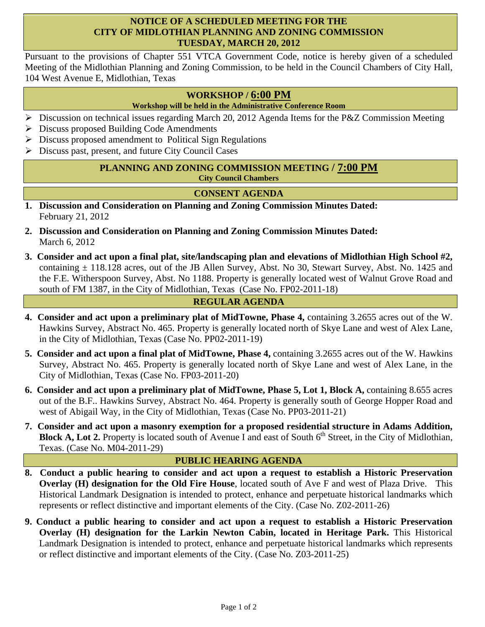# **NOTICE OF A SCHEDULED MEETING FOR THE CITY OF MIDLOTHIAN PLANNING AND ZONING COMMISSION TUESDAY, MARCH 20, 2012**

Pursuant to the provisions of Chapter 551 VTCA Government Code, notice is hereby given of a scheduled Meeting of the Midlothian Planning and Zoning Commission, to be held in the Council Chambers of City Hall, 104 West Avenue E, Midlothian, Texas

# **WORKSHOP / 6:00 PM**

### **Workshop will be held in the Administrative Conference Room**

- $\triangleright$  Discussion on technical issues regarding March 20, 2012 Agenda Items for the P&Z Commission Meeting
- $\triangleright$  Discuss proposed Building Code Amendments
- $\triangleright$  Discuss proposed amendment to Political Sign Regulations
- $\triangleright$  Discuss past, present, and future City Council Cases

#### **PLANNING AND ZONING COMMISSION MEETING / 7:00 PM City Council Chambers**

# **CONSENT AGENDA**

- **1. Discussion and Consideration on Planning and Zoning Commission Minutes Dated:**  February 21, 2012
- **2. Discussion and Consideration on Planning and Zoning Commission Minutes Dated:**  March 6, 2012
- **3. Consider and act upon a final plat, site/landscaping plan and elevations of Midlothian High School #2,** containing  $\pm$  118.128 acres, out of the JB Allen Survey, Abst. No 30, Stewart Survey, Abst. No. 1425 and the F.E. Witherspoon Survey, Abst. No 1188. Property is generally located west of Walnut Grove Road and south of FM 1387, in the City of Midlothian, Texas (Case No. FP02-2011-18)

### **REGULAR AGENDA**

- **4. Consider and act upon a preliminary plat of MidTowne, Phase 4,** containing 3.2655 acres out of the W. Hawkins Survey, Abstract No. 465. Property is generally located north of Skye Lane and west of Alex Lane, in the City of Midlothian, Texas (Case No. PP02-2011-19)
- **5. Consider and act upon a final plat of MidTowne, Phase 4,** containing 3.2655 acres out of the W. Hawkins Survey, Abstract No. 465. Property is generally located north of Skye Lane and west of Alex Lane, in the City of Midlothian, Texas (Case No. FP03-2011-20)
- **6. Consider and act upon a preliminary plat of MidTowne, Phase 5, Lot 1, Block A,** containing 8.655 acres out of the B.F.. Hawkins Survey, Abstract No. 464. Property is generally south of George Hopper Road and west of Abigail Way, in the City of Midlothian, Texas (Case No. PP03-2011-21)
- **7. Consider and act upon a masonry exemption for a proposed residential structure in Adams Addition, Block A, Lot 2.** Property is located south of Avenue I and east of South 6<sup>th</sup> Street, in the City of Midlothian, Texas. (Case No. M04-2011-29)

### **PUBLIC HEARING AGENDA**

- **8. Conduct a public hearing to consider and act upon a request to establish a Historic Preservation Overlay (H) designation for the Old Fire House**, located south of Ave F and west of Plaza Drive. This Historical Landmark Designation is intended to protect, enhance and perpetuate historical landmarks which represents or reflect distinctive and important elements of the City. (Case No. Z02-2011-26)
- **9. Conduct a public hearing to consider and act upon a request to establish a Historic Preservation Overlay (H) designation for the Larkin Newton Cabin, located in Heritage Park.** This Historical Landmark Designation is intended to protect, enhance and perpetuate historical landmarks which represents or reflect distinctive and important elements of the City. (Case No. Z03-2011-25)